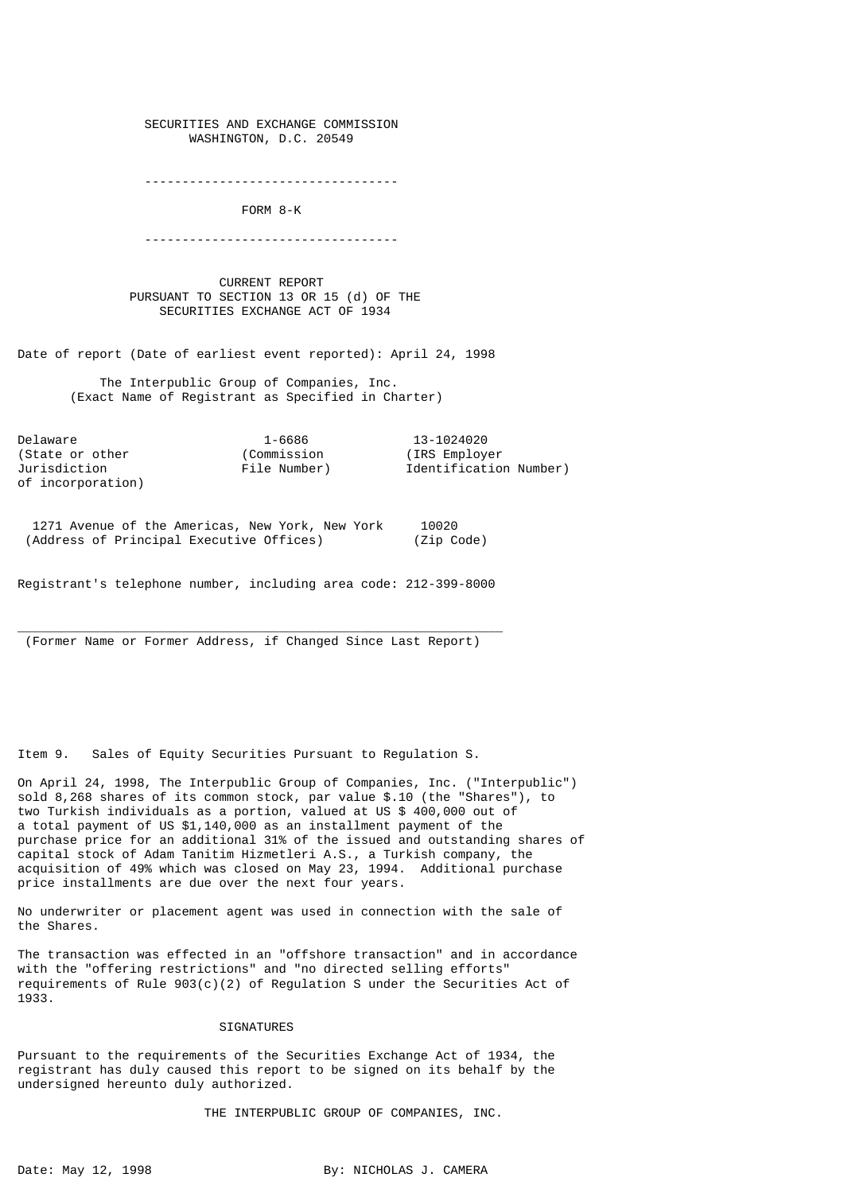SECURITIES AND EXCHANGE COMMISSION WASHINGTON, D.C. 20549

----------------------------------

FORM 8-K

----------------------------------

 CURRENT REPORT PURSUANT TO SECTION 13 OR 15 (d) OF THE SECURITIES EXCHANGE ACT OF 1934

Date of report (Date of earliest event reported): April 24, 1998

 The Interpublic Group of Companies, Inc. (Exact Name of Registrant as Specified in Charter)

Delaware 1-6686 13-1024020<br>(State or other (Commission (IRS Employer) (State or other of incorporation)

Jurisdiction File Number) Identification Number)

 1271 Avenue of the Americas, New York, New York 10020 (Address of Principal Executive Offices) (Zip Code)

Registrant's telephone number, including area code: 212-399-8000

 $\overline{\phantom{a}}$  , and the set of the set of the set of the set of the set of the set of the set of the set of the set of the set of the set of the set of the set of the set of the set of the set of the set of the set of the s (Former Name or Former Address, if Changed Since Last Report)

Item 9. Sales of Equity Securities Pursuant to Regulation S.

On April 24, 1998, The Interpublic Group of Companies, Inc. ("Interpublic") sold 8,268 shares of its common stock, par value \$.10 (the "Shares"), to two Turkish individuals as a portion, valued at US \$ 400,000 out of a total payment of US \$1,140,000 as an installment payment of the purchase price for an additional 31% of the issued and outstanding shares of capital stock of Adam Tanitim Hizmetleri A.S., a Turkish company, the acquisition of 49% which was closed on May 23, 1994. Additional purchase price installments are due over the next four years.

No underwriter or placement agent was used in connection with the sale of the Shares.

The transaction was effected in an "offshore transaction" and in accordance with the "offering restrictions" and "no directed selling efforts" requirements of Rule  $903(c)(2)$  of Regulation S under the Securities Act of 1933.

## SIGNATURES

Pursuant to the requirements of the Securities Exchange Act of 1934, the registrant has duly caused this report to be signed on its behalf by the undersigned hereunto duly authorized.

THE INTERPUBLIC GROUP OF COMPANIES, INC.